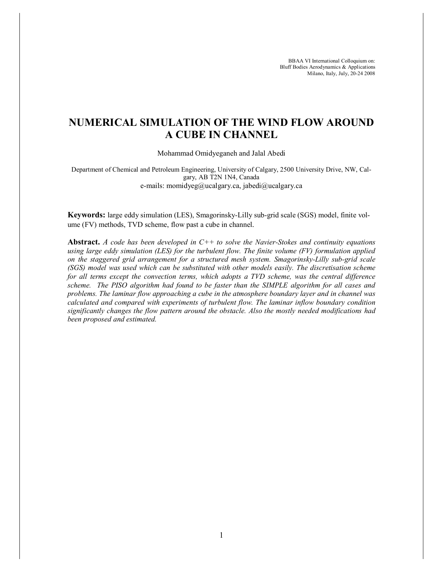BBAA VI International Colloquium on: Bluff Bodies Aerodynamics & Applications Milano, Italy, July, 20-24 2008

# **NUMERICAL SIMULATION OF THE WIND FLOW AROUND A CUBE IN CHANNEL**

Mohammad Omidyeganeh and Jalal Abedi

Department of Chemical and Petroleum Engineering, University of Calgary, 2500 University Drive, NW, Calgary, AB T2N 1N4, Canada e-mails: momidyeg@ucalgary.ca, jabedi@ucalgary.ca

**Keywords:** large eddy simulation (LES), Smagorinsky-Lilly sub-grid scale (SGS) model, finite volume (FV) methods, TVD scheme, flow past a cube in channel.

**Abstract.** *A code has been developed in C++ to solve the Navier-Stokes and continuity equations using large eddy simulation (LES) for the turbulent flow. The finite volume (FV) formulation applied on the staggered grid arrangement for a structured mesh system. Smagorinsky-Lilly sub-grid scale (SGS) model was used which can be substituted with other models easily. The discretisation scheme for all terms except the convection terms, which adopts a TVD scheme, was the central difference scheme. The PISO algorithm had found to be faster than the SIMPLE algorithm for all cases and problems. The laminar flow approaching a cube in the atmosphere boundary layer and in channel was calculated and compared with experiments of turbulent flow. The laminar inflow boundary condition significantly changes the flow pattern around the obstacle. Also the mostly needed modifications had been proposed and estimated.*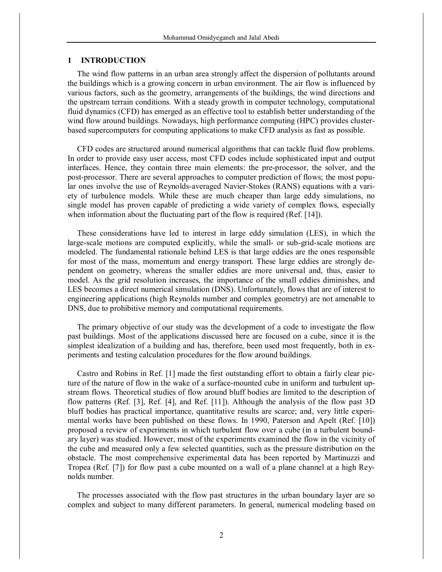### **1 INTRODUCTION**

The wind flow patterns in an urban area strongly affect the dispersion of pollutants around the buildings which is a growing concern in urban environment. The air flow is influenced by various factors, such as the geometry, arrangements of the buildings, the wind directions and the upstream terrain conditions. With a steady growth in computer technology, computational fluid dynamics (CFD) has emerged as an effective tool to establish better understanding of the wind flow around buildings. Nowadays, high performance computing (HPC) provides clusterbased supercomputers for computing applications to make CFD analysis as fast as possible.

CFD codes are structured around numerical algorithms that can tackle fluid flow problems. In order to provide easy user access, most CFD codes include sophisticated input and output interfaces. Hence, they contain three main elements: the pre-processor, the solver, and the post-processor. There are several approaches to computer prediction of flows; the most popular ones involve the use of Reynolds-averaged Navier-Stokes (RANS) equations with a variety of turbulence models. While these are much cheaper than large eddy simulations, no single model has proven capable of predicting a wide variety of complex flows, especially when information about the fluctuating part of the flow is required (Ref. [14]).

These considerations have led to interest in large eddy simulation (LES), in which the large-scale motions are computed explicitly, while the small- or sub-grid-scale motions are modeled. The fundamental rationale behind LES is that large eddies are the ones responsible for most of the mass, momentum and energy transport. These large eddies are strongly dependent on geometry, whereas the smaller eddies are more universal and, thus, easier to model. As the grid resolution increases, the importance of the small eddies diminishes, and LES becomes a direct numerical simulation (DNS). Unfortunately, flows that are of interest to engineering applications (high Reynolds number and complex geometry) are not amenable to DNS, due to prohibitive memory and computational requirements.

The primary objective of our study was the development of a code to investigate the flow past buildings. Most of the applications discussed here are focused on a cube, since it is the simplest idealization of a building and has, therefore, been used most frequently, both in experiments and testing calculation procedures for the flow around buildings.

Castro and Robins in Ref. [1] made the first outstanding effort to obtain a fairly clear picture of the nature of flow in the wake of a surface-mounted cube in uniform and turbulent upstream flows. Theoretical studies of flow around bluff bodies are limited to the description of flow patterns (Ref. [3], Ref. [4], and Ref. [11]). Although the analysis of the flow past 3D bluff bodies has practical importance, quantitative results are scarce; and, very little experimental works have been published on these flows. In 1990, Paterson and Apelt (Ref. [10]) proposed a review of experiments in which turbulent flow over a cube (in a turbulent boundary layer) was studied. However, most of the experiments examined the flow in the vicinity of the cube and measured only a few selected quantities, such as the pressure distribution on the obstacle. The most comprehensive experimental data has been reported by Martinuzzi and Tropea (Ref. [7]) for flow past a cube mounted on a wall of a plane channel at a high Reynolds number.

The processes associated with the flow past structures in the urban boundary layer are so complex and subject to many different parameters. In general, numerical modeling based on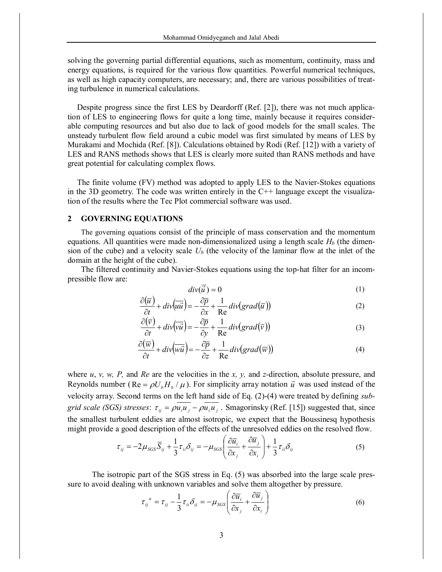solving the governing partial differential equations, such as momentum, continuity, mass and energy equations, is required for the various flow quantities. Powerful numerical techniques, as well as high capacity computers, are necessary; and, there are various possibilities of treating turbulence in numerical calculations.

Despite progress since the first LES by Deardorff (Ref. [2]), there was not much application of LES to engineering flows for quite a long time, mainly because it requires considerable computing resources and but also due to lack of good models for the small scales. The unsteady turbulent flow field around a cubic model was first simulated by means of LES by Murakami and Mochida (Ref. [8]). Calculations obtained by Rodi (Ref. [12]) with a variety of LES and RANS methods shows that LES is clearly more suited than RANS methods and have great potential for calculating complex flows.

The finite volume (FV) method was adopted to apply LES to the Navier-Stokes equations in the 3D geometry. The code was written entirely in the  $C++$  language except the visualization of the results where the Tec Plot commercial software was used.

#### **2 GOVERNING EQUATIONS**

The governing equations consist of the principle of mass conservation and the momentum equations. All quantities were made non-dimensionalized using a length scale  $H_b$  (the dimension of the cube) and a velocity scale  $U_b$  (the velocity of the laminar flow at the inlet of the domain at the height of the cube).

The filtered continuity and Navier-Stokes equations using the top-hat filter for an incompressible flow are:

$$
div(\overline{\vec{u}})=0
$$
 (1)

$$
\frac{\partial(\overline{u})}{\partial t} + \operatorname{div}(\overline{u}\overline{u}) = -\frac{\partial \overline{p}}{\partial x} + \frac{1}{\operatorname{Re}} \operatorname{div}(\operatorname{grad}(\overline{u}))
$$
(2)

$$
\frac{\partial(\overline{v})}{\partial t} + div(\overline{v}\overline{u}) = -\frac{\partial \overline{p}}{\partial y} + \frac{1}{Re}div(grad(\overline{v}))
$$
(3)

$$
\frac{\partial(\overline{w})}{\partial t} + \operatorname{div}(\overline{w\overline{u}}) = -\frac{\partial \overline{p}}{\partial z} + \frac{1}{\operatorname{Re}} \operatorname{div}(\operatorname{grad}(\overline{w}))
$$
(4)

where *u*, *v, w, P,* and *Re* are the velocities in the *x, y,* and *z-*direction, absolute pressure, and Reynolds number ( $\text{Re} = \rho U_b H_b / \mu$ ). For simplicity array notation  $\vec{u}$  was used instead of the velocity array. Second terms on the left hand side of Eq. (2)-(4) were treated by defining *subgrid scale (SGS) stresses*:  $\tau_{ij} = \rho u_i u_j - \rho u_i u_j$ . Smagorinsky (Ref. [15]) suggested that, since the smallest turbulent eddies are almost isotropic, we expect that the Boussinesq hypothesis might provide a good description of the effects of the unresolved eddies on the resolved flow.

$$
\tau_{ij} = -2\mu_{SGS}\overline{S}_{ij} + \frac{1}{3}\tau_{ii}\delta_{ij} = -\mu_{SGS}\left(\frac{\partial \overline{u}_i}{\partial x_j} + \frac{\partial \overline{u}_j}{\partial x_i}\right) + \frac{1}{3}\tau_{ii}\delta_{ij}
$$
(5)

The isotropic part of the SGS stress in Eq. (5) was absorbed into the large scale pressure to avoid dealing with unknown variables and solve them altogether by pressure.

$$
\tau_{ij}^a = \tau_{ij} - \frac{1}{3} \tau_{ii} \delta_{ij} = -\mu_{SGS} \left( \frac{\partial \overline{u}_i}{\partial x_j} + \frac{\partial \overline{u}_j}{\partial x_i} \right)
$$
(6)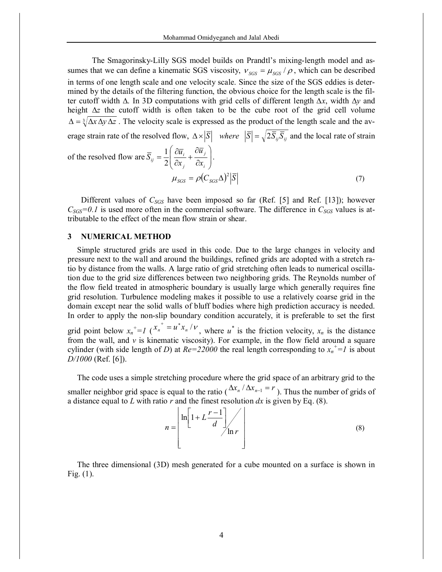The Smagorinsky-Lilly SGS model builds on Prandtl's mixing-length model and assumes that we can define a kinematic SGS viscosity,  $v_{SGS} = \mu_{SGS} / \rho$ , which can be described in terms of one length scale and one velocity scale. Since the size of the SGS eddies is determined by the details of the filtering function, the obvious choice for the length scale is the filter cutoff width ∆. In 3D computations with grid cells of different length *∆x*, width ∆*y* and height ∆*z* the cutoff width is often taken to be the cube root of the grid cell volume  $\Delta = \sqrt[3]{\Delta x \Delta y \Delta z}$ . The velocity scale is expressed as the product of the length scale and the average strain rate of the resolved flow,  $\Delta \times |\overline{S}|$  *where*  $|\overline{S}| = \sqrt{2 \overline{S}_{ij} \overline{S}_{ij}}$  and the local rate of strain

of the resolved flow are 
$$
\overline{S}_{ij} = \frac{1}{2} \left( \frac{\partial \overline{u}_i}{\partial x_j} + \frac{\partial \overline{u}_j}{\partial x_i} \right)
$$
.  
\n
$$
\mu_{SGS} = \rho (C_{SGS} \Delta)^2 |\overline{S}| \tag{7}
$$

Different values of *CSGS* have been imposed so far (Ref. [5] and Ref. [13]); however  $C_{SGS}$ =0.1 is used more often in the commercial software. The difference in  $C_{SGS}$  values is attributable to the effect of the mean flow strain or shear.

## **3 NUMERICAL METHOD**

Simple structured grids are used in this code. Due to the large changes in velocity and pressure next to the wall and around the buildings, refined grids are adopted with a stretch ratio by distance from the walls. A large ratio of grid stretching often leads to numerical oscillation due to the grid size differences between two neighboring grids. The Reynolds number of the flow field treated in atmospheric boundary is usually large which generally requires fine grid resolution. Turbulence modeling makes it possible to use a relatively coarse grid in the domain except near the solid walls of bluff bodies where high prediction accuracy is needed. In order to apply the non-slip boundary condition accurately, it is preferable to set the first grid point below  $x_n^+ = I(x_n^* - u^*x_n / v)$ , where  $u^*$  is the friction velocity,  $x_n$  is the distance from the wall, and *ν* is kinematic viscosity). For example, in the flow field around a square cylinder (with side length of *D*) at  $Re = 22000$  the real length corresponding to  $x_n^+ = 1$  is about *D/1000* (Ref. [6]).

The code uses a simple stretching procedure where the grid space of an arbitrary grid to the smaller neighbor grid space is equal to the ratio ( $\Delta x_n / \Delta x_{n-1} = r$ ). Thus the number of grids of a distance equal to  $L$  with ratio  $r$  and the finest resolution  $dx$  is given by Eq. (8).

$$
n = \left\lfloor \ln \left[ 1 + L \frac{r - 1}{d} \right] \right\rfloor \ln r \tag{8}
$$

The three dimensional (3D) mesh generated for a cube mounted on a surface is shown in Fig. (1).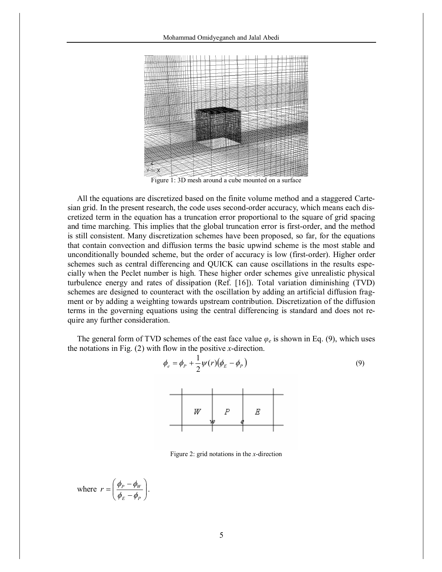

Figure 1: 3D mesh around a cube mounted on a surface

All the equations are discretized based on the finite volume method and a staggered Cartesian grid. In the present research, the code uses second-order accuracy, which means each discretized term in the equation has a truncation error proportional to the square of grid spacing and time marching. This implies that the global truncation error is first-order, and the method is still consistent. Many discretization schemes have been proposed, so far, for the equations that contain convection and diffusion terms the basic upwind scheme is the most stable and unconditionally bounded scheme, but the order of accuracy is low (first-order). Higher order schemes such as central differencing and QUICK can cause oscillations in the results especially when the Peclet number is high. These higher order schemes give unrealistic physical turbulence energy and rates of dissipation (Ref. [16]). Total variation diminishing (TVD) schemes are designed to counteract with the oscillation by adding an artificial diffusion fragment or by adding a weighting towards upstream contribution. Discretization of the diffusion terms in the governing equations using the central differencing is standard and does not require any further consideration.

The general form of TVD schemes of the east face value  $\varphi_e$  is shown in Eq. (9), which uses the notations in Fig. (2) with flow in the positive *x*-direction.

> $\phi_e = \phi_P + \frac{1}{2}\psi(r)(\phi_E - \phi_P)$ 1



(9)

Figure 2: grid notations in the *x*-direction

where 
$$
r = \left(\frac{\phi_P - \phi_W}{\phi_E - \phi_P}\right)
$$

.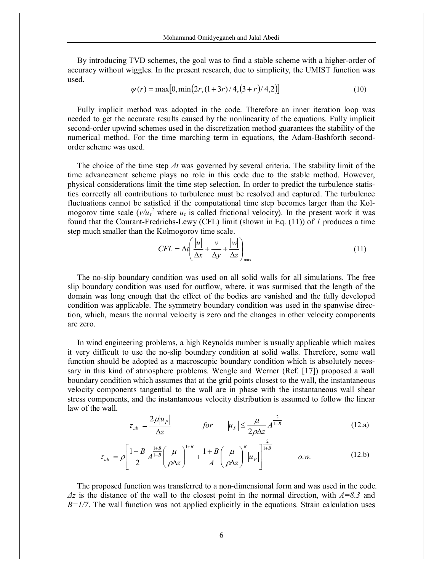By introducing TVD schemes, the goal was to find a stable scheme with a higher-order of accuracy without wiggles. In the present research, due to simplicity, the UMIST function was used.

$$
\psi(r) = \max[0, \min(2r, (1+3r)/4, (3+r)/4, 2)] \tag{10}
$$

Fully implicit method was adopted in the code. Therefore an inner iteration loop was needed to get the accurate results caused by the nonlinearity of the equations. Fully implicit second-order upwind schemes used in the discretization method guarantees the stability of the numerical method. For the time marching term in equations, the Adam-Bashforth secondorder scheme was used.

The choice of the time step *Δt* was governed by several criteria. The stability limit of the time advancement scheme plays no role in this code due to the stable method. However, physical considerations limit the time step selection. In order to predict the turbulence statistics correctly all contributions to turbulence must be resolved and captured. The turbulence fluctuations cannot be satisfied if the computational time step becomes larger than the Kolmogorov time scale  $(v/u<sub>t</sub><sup>2</sup>$  where  $u<sub>t</sub>$  is called frictional velocity). In the present work it was found that the Courant-Fredrichs-Lewy (CFL) limit (shown in Eq. (11)) of *1* produces a time step much smaller than the Kolmogorov time scale.

$$
CFL = \Delta t \left( \frac{|u|}{\Delta x} + \frac{|v|}{\Delta y} + \frac{|w|}{\Delta z} \right)_{\text{max}} \tag{11}
$$

The no-slip boundary condition was used on all solid walls for all simulations. The free slip boundary condition was used for outflow, where, it was surmised that the length of the domain was long enough that the effect of the bodies are vanished and the fully developed condition was applicable. The symmetry boundary condition was used in the spanwise direction, which, means the normal velocity is zero and the changes in other velocity components are zero.

In wind engineering problems, a high Reynolds number is usually applicable which makes it very difficult to use the no-slip boundary condition at solid walls. Therefore, some wall function should be adopted as a macroscopic boundary condition which is absolutely necessary in this kind of atmosphere problems. Wengle and Werner (Ref. [17]) proposed a wall boundary condition which assumes that at the grid points closest to the wall, the instantaneous velocity components tangential to the wall are in phase with the instantaneous wall shear stress components, and the instantaneous velocity distribution is assumed to follow the linear law of the wall.

$$
\left|\tau_{ub}\right| = \frac{2\mu|u_p|}{\Delta z} \qquad \qquad \text{for} \qquad \left|u_p\right| \le \frac{\mu}{2\rho\Delta z} A^{\frac{2}{1-\beta}} \tag{12.3}
$$

$$
\left|\tau_{ub}\right| = \rho \left[\frac{1-B}{2} A^{\frac{1+B}{1-B}} \left(\frac{\mu}{\rho \Delta z}\right)^{1+B} + \frac{1+B}{A} \left(\frac{\mu}{\rho \Delta z}\right)^B \left|u_p\right|\right]^{\frac{2}{1+B}} \qquad o.w. \tag{12.b}
$$

The proposed function was transferred to a non-dimensional form and was used in the code. *Δz* is the distance of the wall to the closest point in the normal direction, with *A=8.3* and  $B=1/7$ . The wall function was not applied explicitly in the equations. Strain calculation uses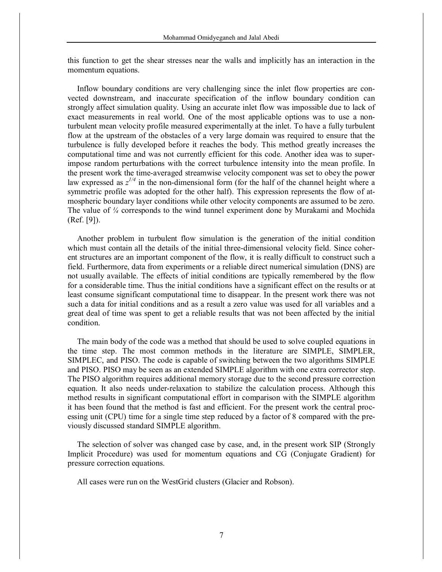this function to get the shear stresses near the walls and implicitly has an interaction in the momentum equations.

Inflow boundary conditions are very challenging since the inlet flow properties are convected downstream, and inaccurate specification of the inflow boundary condition can strongly affect simulation quality. Using an accurate inlet flow was impossible due to lack of exact measurements in real world. One of the most applicable options was to use a nonturbulent mean velocity profile measured experimentally at the inlet. To have a fully turbulent flow at the upstream of the obstacles of a very large domain was required to ensure that the turbulence is fully developed before it reaches the body. This method greatly increases the computational time and was not currently efficient for this code. Another idea was to superimpose random perturbations with the correct turbulence intensity into the mean profile. In the present work the time-averaged streamwise velocity component was set to obey the power law expressed as  $z^{1/4}$  in the non-dimensional form (for the half of the channel height where a symmetric profile was adopted for the other half). This expression represents the flow of atmospheric boundary layer conditions while other velocity components are assumed to be zero. The value of *¼* corresponds to the wind tunnel experiment done by Murakami and Mochida (Ref. [9]).

Another problem in turbulent flow simulation is the generation of the initial condition which must contain all the details of the initial three-dimensional velocity field. Since coherent structures are an important component of the flow, it is really difficult to construct such a field. Furthermore, data from experiments or a reliable direct numerical simulation (DNS) are not usually available. The effects of initial conditions are typically remembered by the flow for a considerable time. Thus the initial conditions have a significant effect on the results or at least consume significant computational time to disappear. In the present work there was not such a data for initial conditions and as a result a zero value was used for all variables and a great deal of time was spent to get a reliable results that was not been affected by the initial condition.

The main body of the code was a method that should be used to solve coupled equations in the time step. The most common methods in the literature are SIMPLE, SIMPLER, SIMPLEC, and PISO. The code is capable of switching between the two algorithms SIMPLE and PISO. PISO may be seen as an extended SIMPLE algorithm with one extra corrector step. The PISO algorithm requires additional memory storage due to the second pressure correction equation. It also needs under-relaxation to stabilize the calculation process. Although this method results in significant computational effort in comparison with the SIMPLE algorithm it has been found that the method is fast and efficient. For the present work the central processing unit (CPU) time for a single time step reduced by a factor of 8 compared with the previously discussed standard SIMPLE algorithm.

The selection of solver was changed case by case, and, in the present work SIP (Strongly Implicit Procedure) was used for momentum equations and CG (Conjugate Gradient) for pressure correction equations.

All cases were run on the WestGrid clusters (Glacier and Robson).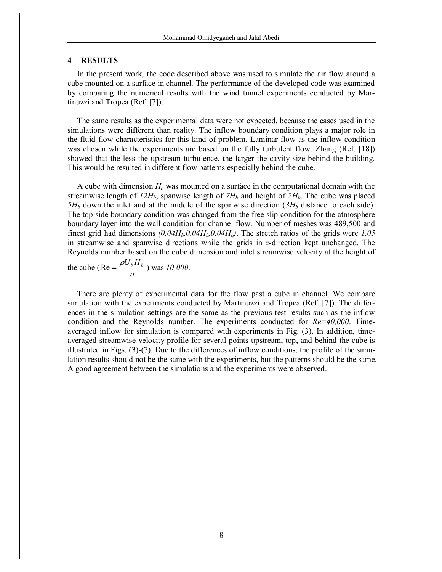#### **4 RESULTS**

In the present work, the code described above was used to simulate the air flow around a cube mounted on a surface in channel. The performance of the developed code was examined by comparing the numerical results with the wind tunnel experiments conducted by Martinuzzi and Tropea (Ref. [7]).

The same results as the experimental data were not expected, because the cases used in the simulations were different than reality. The inflow boundary condition plays a major role in the fluid flow characteristics for this kind of problem. Laminar flow as the inflow condition was chosen while the experiments are based on the fully turbulent flow. Zhang (Ref. [18]) showed that the less the upstream turbulence, the larger the cavity size behind the building. This would be resulted in different flow patterns especially behind the cube.

A cube with dimension *H<sup>b</sup>* was mounted on a surface in the computational domain with the streamwise length of  $12H_b$ , spanwise length of  $7H_b$  and height of  $2H_b$ . The cube was placed  $5H_b$  down the inlet and at the middle of the spanwise direction  $(3H_b)$  distance to each side). The top side boundary condition was changed from the free slip condition for the atmosphere boundary layer into the wall condition for channel flow. Number of meshes was 489,500 and finest grid had dimensions *(0.04Hb,0.04Hb,0.04Hb)*. The stretch ratios of the grids were *1.05* in streamwise and spanwise directions while the grids in *z*-direction kept unchanged. The Reynolds number based on the cube dimension and inlet streamwise velocity at the height of

the cube (Re = 
$$
\frac{\rho U_b H_b}{\mu}
$$
) was 10,000.

There are plenty of experimental data for the flow past a cube in channel. We compare simulation with the experiments conducted by Martinuzzi and Tropea (Ref. [7]). The differences in the simulation settings are the same as the previous test results such as the inflow condition and the Reynolds number. The experiments conducted for *Re=40,000*. Timeaveraged inflow for simulation is compared with experiments in Fig. (3). In addition, timeaveraged streamwise velocity profile for several points upstream, top, and behind the cube is illustrated in Figs. (3)-(7). Due to the differences of inflow conditions, the profile of the simulation results should not be the same with the experiments, but the patterns should be the same. A good agreement between the simulations and the experiments were observed.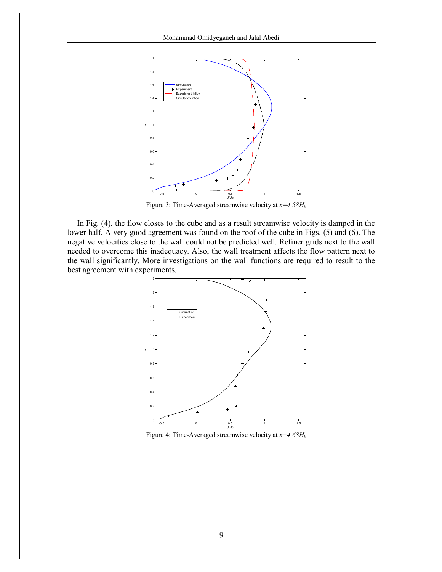

Figure 3: Time-Averaged streamwise velocity at *x=4.58H<sup>b</sup>*

In Fig. (4), the flow closes to the cube and as a result streamwise velocity is damped in the lower half. A very good agreement was found on the roof of the cube in Figs. (5) and (6). The negative velocities close to the wall could not be predicted well. Refiner grids next to the wall needed to overcome this inadequacy. Also, the wall treatment affects the flow pattern next to the wall significantly. More investigations on the wall functions are required to result to the best agreement with experiments.



Figure 4: Time-Averaged streamwise velocity at *x=4.68H<sup>b</sup>*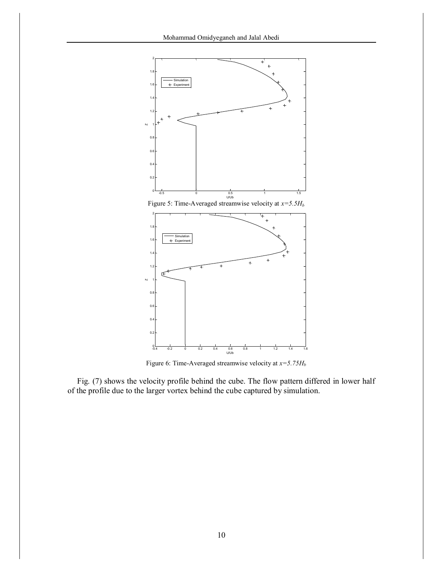

Figure 6: Time-Averaged streamwise velocity at *x=5.75H<sup>b</sup>*

Fig. (7) shows the velocity profile behind the cube. The flow pattern differed in lower half of the profile due to the larger vortex behind the cube captured by simulation.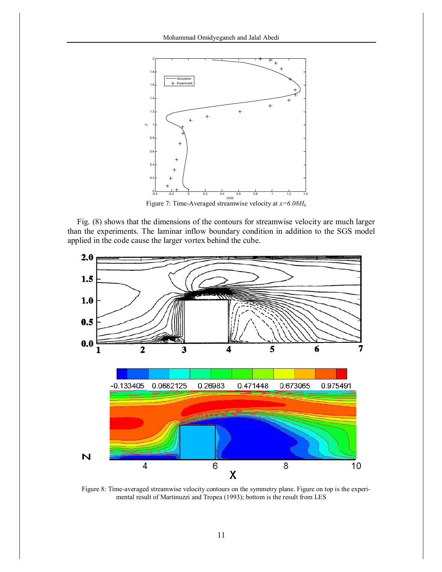

Fig. (8) shows that the dimensions of the contours for streamwise velocity are much larger than the experiments. The laminar inflow boundary condition in addition to the SGS model applied in the code cause the larger vortex behind the cube.



Figure 8: Time-averaged streamwise velocity contours on the symmetry plane. Figure on top is the experimental result of Martinuzzi and Tropea (1993); bottom is the result from LES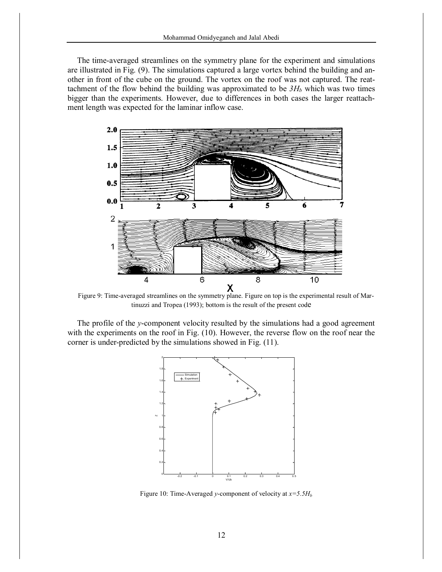The time-averaged streamlines on the symmetry plane for the experiment and simulations are illustrated in Fig. (9). The simulations captured a large vortex behind the building and another in front of the cube on the ground. The vortex on the roof was not captured. The reattachment of the flow behind the building was approximated to be  $3H_b$  which was two times bigger than the experiments. However, due to differences in both cases the larger reattachment length was expected for the laminar inflow case.



Figure 9: Time-averaged streamlines on the symmetry plane. Figure on top is the experimental result of Martinuzzi and Tropea (1993); bottom is the result of the present code

The profile of the *y*-component velocity resulted by the simulations had a good agreement with the experiments on the roof in Fig. (10). However, the reverse flow on the roof near the corner is under-predicted by the simulations showed in Fig. (11).



Figure 10: Time-Averaged *y*-component of velocity at *x=5.5H<sup>b</sup>*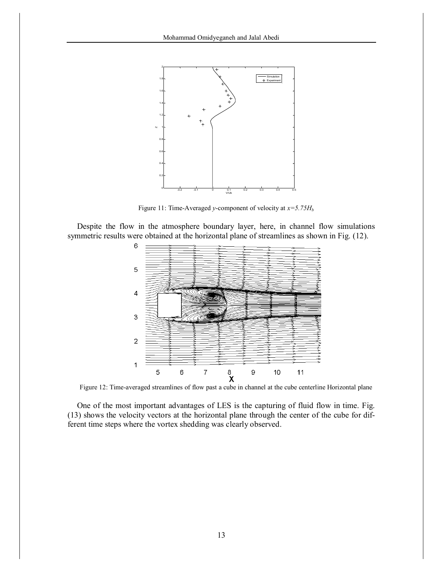

Figure 11: Time-Averaged *y*-component of velocity at  $x=5.75H<sub>b</sub>$ 

Despite the flow in the atmosphere boundary layer, here, in channel flow simulations symmetric results were obtained at the horizontal plane of streamlines as shown in Fig. (12).



Figure 12: Time-averaged streamlines of flow past a cube in channel at the cube centerline Horizontal plane

One of the most important advantages of LES is the capturing of fluid flow in time. Fig. (13) shows the velocity vectors at the horizontal plane through the center of the cube for different time steps where the vortex shedding was clearly observed.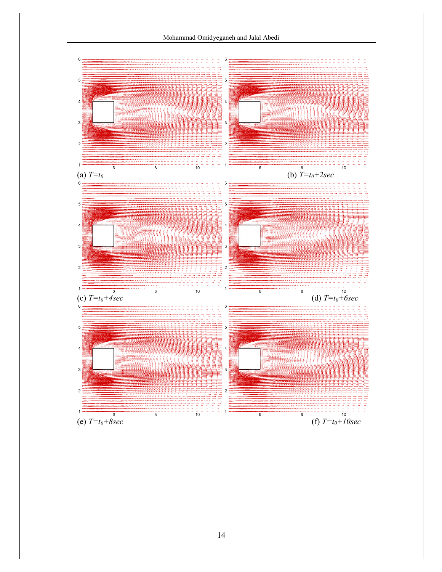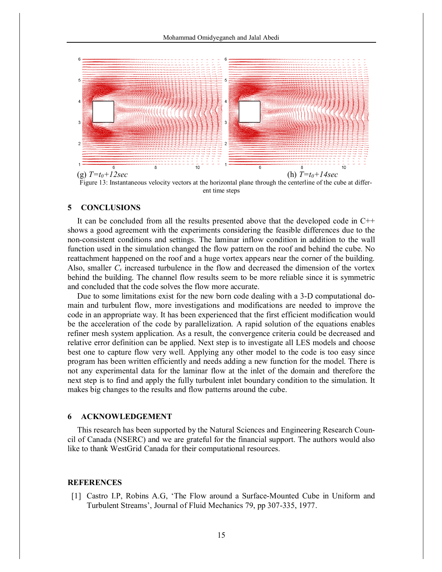

ent time steps

# **5 CONCLUSIONS**

It can be concluded from all the results presented above that the developed code in C++ shows a good agreement with the experiments considering the feasible differences due to the non-consistent conditions and settings. The laminar inflow condition in addition to the wall function used in the simulation changed the flow pattern on the roof and behind the cube. No reattachment happened on the roof and a huge vortex appears near the corner of the building. Also, smaller  $C_s$  increased turbulence in the flow and decreased the dimension of the vortex behind the building. The channel flow results seem to be more reliable since it is symmetric and concluded that the code solves the flow more accurate.

Due to some limitations exist for the new born code dealing with a 3-D computational domain and turbulent flow, more investigations and modifications are needed to improve the code in an appropriate way. It has been experienced that the first efficient modification would be the acceleration of the code by parallelization. A rapid solution of the equations enables refiner mesh system application. As a result, the convergence criteria could be decreased and relative error definition can be applied. Next step is to investigate all LES models and choose best one to capture flow very well. Applying any other model to the code is too easy since program has been written efficiently and needs adding a new function for the model. There is not any experimental data for the laminar flow at the inlet of the domain and therefore the next step is to find and apply the fully turbulent inlet boundary condition to the simulation. It makes big changes to the results and flow patterns around the cube.

# **6 ACKNOWLEDGEMENT**

This research has been supported by the Natural Sciences and Engineering Research Council of Canada (NSERC) and we are grateful for the financial support. The authors would also like to thank WestGrid Canada for their computational resources.

## **REFERENCES**

[1] Castro I.P, Robins A.G, 'The Flow around a Surface-Mounted Cube in Uniform and Turbulent Streams', Journal of Fluid Mechanics 79, pp 307-335, 1977.